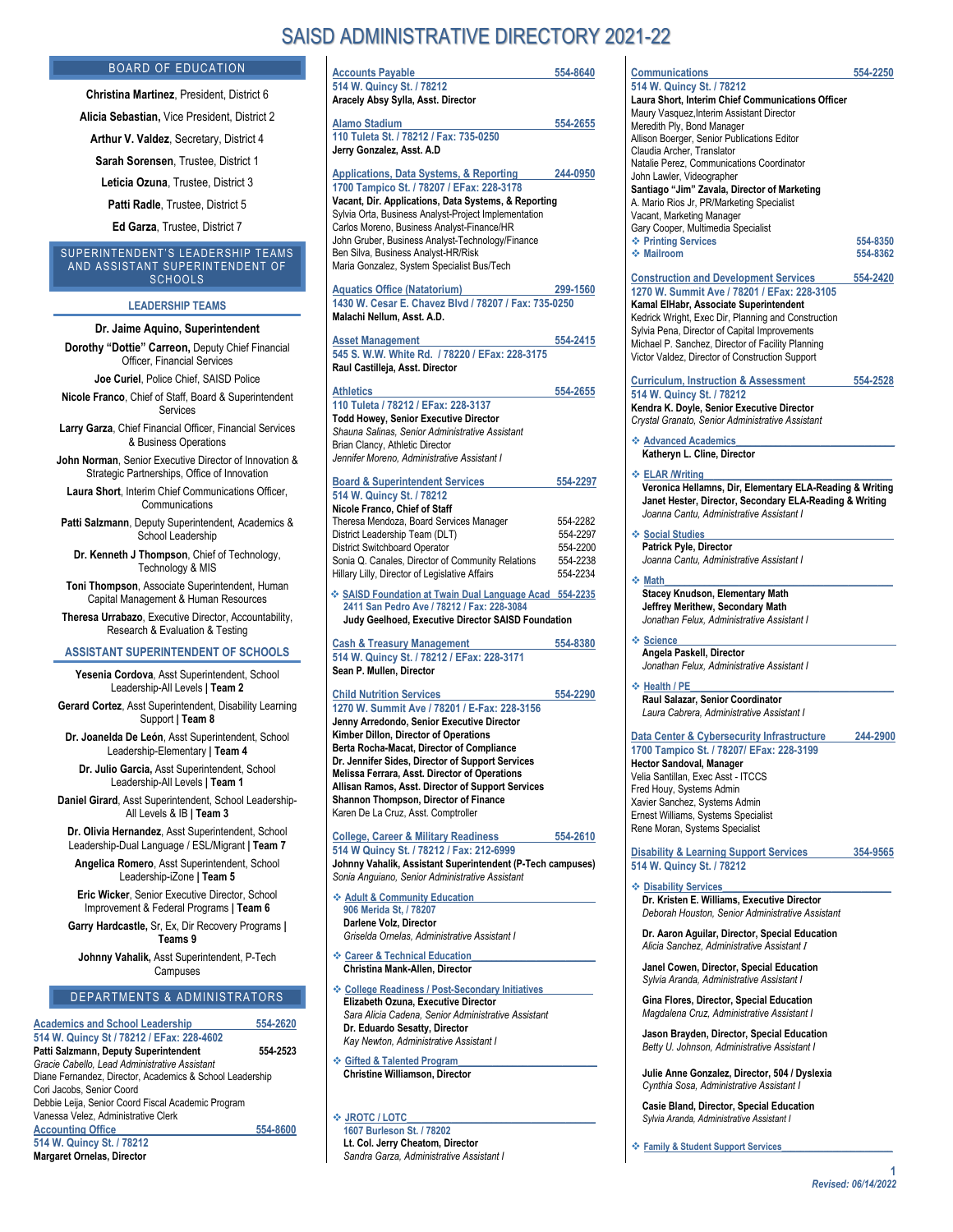# SAISD ADMINISTRATIVE DIRECTORY 2021-22

| <b>Accounts Payable</b>                                                                 | 554-8640 | Communications                                           | 554-2250 |
|-----------------------------------------------------------------------------------------|----------|----------------------------------------------------------|----------|
| 514 W. Quincy St. / 78212                                                               |          | 514 W. Quincy St. / 78212                                |          |
| Aracely Absy Sylla, Asst. Director                                                      |          | Laura Short, Interim Chief Communications Officer        |          |
|                                                                                         |          | Maury Vasquez, Interim Assistant Director                |          |
| <b>Alamo Stadium</b>                                                                    | 554-2655 | Meredith Ply, Bond Manager                               |          |
| 110 Tuleta St. / 78212 / Fax: 735-0250                                                  |          | Allison Boerger, Senior Publications Editor              |          |
| Jerry Gonzalez, Asst. A.D                                                               |          | Claudia Archer, Translator                               |          |
|                                                                                         |          | Natalie Perez, Communications Coordinator                |          |
| Applications, Data Systems, & Reporting                                                 | 244-0950 | John Lawler, Videographer                                |          |
| 1700 Tampico St. / 78207 / EFax: 228-3178                                               |          | Santiago "Jim" Zavala, Director of Marketing             |          |
| Vacant, Dir. Applications, Data Systems, & Reporting                                    |          | A. Mario Rios Jr, PR/Marketing Specialist                |          |
| Sylvia Orta, Business Analyst-Project Implementation                                    |          | Vacant, Marketing Manager                                |          |
| Carlos Moreno, Business Analyst-Finance/HR                                              |          | Gary Cooper, Multimedia Specialist                       |          |
| John Gruber, Business Analyst-Technology/Finance<br>Ben Silva, Business Analyst-HR/Risk |          | ❖ Printing Services<br>❖ Mailroom                        | 554-8350 |
| Maria Gonzalez, System Specialist Bus/Tech                                              |          |                                                          | 554-8362 |
|                                                                                         |          | <b>Construction and Development Services</b>             | 554-2420 |
| <b>Aquatics Office (Natatorium)</b>                                                     | 299-1560 | 1270 W. Summit Ave / 78201 / EFax: 228-3105              |          |
| 1430 W. Cesar E. Chavez Blvd / 78207 / Fax: 735-0250                                    |          | Kamal ElHabr, Associate Superintendent                   |          |
| Malachi Nellum, Asst. A.D.                                                              |          | Kedrick Wright, Exec Dir, Planning and Construction      |          |
|                                                                                         |          | Sylvia Pena, Director of Capital Improvements            |          |
| <b>Asset Management</b>                                                                 | 554-2415 | Michael P. Sanchez, Director of Facility Planning        |          |
| 545 S. W.W. White Rd. / 78220 / EFax: 228-3175                                          |          | Victor Valdez, Director of Construction Support          |          |
| Raul Castilleja, Asst. Director                                                         |          |                                                          |          |
|                                                                                         |          | <b>Curriculum, Instruction &amp; Assessment</b>          | 554-2528 |
| <b>Athletics</b>                                                                        | 554-2655 | 514 W. Quincy St. / 78212                                |          |
| 110 Tuleta / 78212 / EFax: 228-3137                                                     |          | Kendra K. Doyle, Senior Executive Director               |          |
| <b>Todd Howey, Senior Executive Director</b>                                            |          | Crystal Granato, Senior Administrative Assistant         |          |
| Shauna Salinas, Senior Administrative Assistant                                         |          | ❖ Advanced Academics                                     |          |
| Brian Clancy, Athletic Director                                                         |          | Katheryn L. Cline, Director                              |          |
| Jennifer Moreno, Administrative Assistant I                                             |          |                                                          |          |
| <b>Board &amp; Superintendent Services</b>                                              | 554-2297 | $\div$ ELAR /Writing                                     |          |
| 514 W. Quincy St. / 78212                                                               |          | Veronica Hellamns, Dir, Elementary ELA-Reading & Writing |          |
| Nicole Franco, Chief of Staff                                                           |          | Janet Hester, Director, Secondary ELA-Reading & Writing  |          |
| Theresa Mendoza, Board Services Manager                                                 | 554-2282 | Joanna Cantu, Administrative Assistant I                 |          |
| District Leadership Team (DLT)                                                          | 554-2297 | ❖ Social Studies                                         |          |
| District Switchboard Operator                                                           | 554-2200 | Patrick Pyle, Director                                   |          |
| Sonia Q. Canales, Director of Community Relations                                       | 554-2238 | Joanna Cantu, Administrative Assistant I                 |          |
| Hillary Lilly, Director of Legislative Affairs                                          | 554-2234 |                                                          |          |
|                                                                                         |          | ❖ Math                                                   |          |
| ❖ SAISD Foundation at Twain Dual Language Acad 554-2235                                 |          | Stacey Knudson, Elementary Math                          |          |
| 2411 San Pedro Ave / 78212 / Fax: 228-3084                                              |          | Jeffrey Merithew, Secondary Math                         |          |
| Judy Geelhoed, Executive Director SAISD Foundation                                      |          | Jonathan Felux. Administrative Assistant I               |          |
| <b>Cash &amp; Treasury Management</b>                                                   | 554-8380 | ❖ Science                                                |          |
| 514 W. Quincy St. / 78212 / EFax: 228-3171                                              |          | Angela Paskell, Director                                 |          |
| Sean P. Mullen, Director                                                                |          | Jonathan Felux, Administrative Assistant I               |          |
| <b>Child Nutrition Services</b>                                                         | 554-2290 | ❖ Health / PE                                            |          |
| 1270 W. Summit Ave / 78201 / E-Fax: 228-3156                                            |          | Raul Salazar, Senior Coordinator                         |          |
| Jenny Arredondo, Senior Executive Director                                              |          | Laura Cabrera, Administrative Assistant I                |          |
| Kimber Dillon, Director of Operations                                                   |          |                                                          |          |
| Berta Rocha-Macat, Director of Compliance                                               |          | Data Center & Cybersecurity Infrastructure               | 244-2900 |
| Dr. Jennifer Sides, Director of Support Services                                        |          | 1700 Tampico St. / 78207/ EFax: 228-3199                 |          |
| Melissa Ferrara, Asst. Director of Operations                                           |          | Hector Sandoval, Manager                                 |          |
| Allisan Ramos, Asst. Director of Support Services                                       |          | Velia Santillan, Exec Asst - ITCCS                       |          |
| Shannon Thompson, Director of Finance                                                   |          | Fred Houy, Systems Admin                                 |          |
| Karen De La Cruz, Asst. Comptroller                                                     |          | Xavier Sanchez, Systems Admin                            |          |
|                                                                                         |          | Ernest Williams, Systems Specialist                      |          |

**College, Career & Military Readiness 554-2610 514 W Quincy St. / 78212 / Fax: 212-6999 Johnny Vahalik, Assistant Superintendent (P-Tech campuses)** *Sonia Anguiano, Senior Administrative Assistant*

 $\triangleleft$  Adult & Community Education **906 Merida St, / 78207**

**Darlene Volz, Director** *Griselda Ornelas, Administrative Assistant I*

- **Career & Technical Education\_\_\_\_\_\_\_\_\_\_\_\_\_\_\_\_\_\_\_\_\_\_\_\_\_ Christina Mank-Allen, Director**
- **College Readiness / Post-Secondary Initiatives\_\_\_\_\_\_\_\_\_\_ Elizabeth Ozuna, Executive Director** *Sara Alicia Cadena, Senior Administrative Assistant*  **Dr. Eduardo Sesatty, Director** *Kay Newton, Administrative Assistant I*
- **Gifted & Talented Program\_\_\_\_\_\_\_\_\_\_\_\_\_\_\_\_\_\_\_\_\_\_\_\_\_\_\_\_ Christine Williamson, Director**

 $\div$  JROTC / LOTC **1607 Burleson St. / 78202 Lt. Col. Jerry Cheatom, Director** *Sandra Garza, Administrative Assistant I*

# **Communications 554-2250 Laura Short, Interim Chief Communications Officer** Allison Boerger, Senior Publications Editor Natalie Perez, Communications Coordinator ketina A. Mario Rios Jr, PR/Marketing Specialist ◆ Printing Services 554-8350 **Mailroom 554-8362**

### **Curriculum, Instruction & Assessment 554-2528**

Ernest Williams, Systems Specialist Rene Moran, Systems Specialist

**Disability & Learning Support Services 354-9565 514 W. Quincy St. / 78212**

 $\triangleleft$  Disability Services **Dr. Kristen E. Williams, Executive Director** *Deborah Houston, Senior Administrative Assistant*

**Dr. Aaron Aguilar, Director, Special Education**  *Alicia Sanchez, Administrative Assistant I*

**Janel Cowen, Director, Special Education** *Sylvia Aranda, Administrative Assistant I*

**Gina Flores, Director, Special Education** *Magdalena Cruz, Administrative Assistant I*

**Jason Brayden, Director, Special Education** *Betty U. Johnson, Administrative Assistant I*

**Julie Anne Gonzalez, Director, 504 / Dyslexia** *Cynthia Sosa, Administrative Assistant I* 

**Casie Bland, Director, Special Education** *Sylvia Aranda, Administrative Assistant I*

**Family & Student Support Services\_\_\_\_\_\_\_\_\_\_\_\_\_\_\_\_\_\_\_\_\_\_\_\_**

## **Campuses** DEPARTMENTS & ADMINISTRATORS

BOARD OF EDUCATION **Christina Martinez**, President, District 6 **Alicia Sebastian, Vice President, District 2 Arthur V. Valdez**, Secretary, District 4 **Sarah Sorensen**, Trustee, District 1 **Leticia Ozuna**, Trustee, District 3 **Patti Radle**, Trustee, District 5 **Ed Garza**, Trustee, District 7 SUPERINTENDENT'S LEADERSHIP TEAMS AND ASSISTANT SUPERINTENDENT OF SCHOOLS **LEADERSHIP TEAMS Dr. Jaime Aquino, Superintendent Dorothy "Dottie" Carreon,** Deputy Chief Financial Officer, Financial Services **Joe Curiel**, Police Chief, SAISD Police **Nicole Franco**, Chief of Staff, Board & Superintendent Services **Larry Garza**, Chief Financial Officer, Financial Services & Business Operations **John Norman**, Senior Executive Director of Innovation & Strategic Partnerships, Office of Innovation **Laura Short**, Interim Chief Communications Officer, Communications **Patti Salzmann**, Deputy Superintendent, Academics & School Leadership **Dr. Kenneth J Thompson**, Chief of Technology, Technology & MIS **Toni Thompson**, Associate Superintendent, Human Capital Management & Human Resources **Theresa Urrabazo**, Executive Director, Accountability, Research & Evaluation & Testing **ASSISTANT SUPERINTENDENT OF SCHOOLS Yesenia Cordova**, Asst Superintendent, School Leadership-All Levels **| Team 2 Gerard Cortez**, Asst Superintendent, Disability Learning Support **| Team 8 Dr. Joanelda De León**, Asst Superintendent, School Leadership-Elementary **| Team 4 Dr. Julio Garcia,** Asst Superintendent, School Leadership-All Levels **| Team 1 Daniel Girard**, Asst Superintendent, School Leadership-All Levels & IB **| Team 3 Dr. Olivia Hernandez**, Asst Superintendent, School Leadership-Dual Language / ESL/Migrant **| Team 7 Angelica Romero**, Asst Superintendent, School Leadership-iZone **| Team 5 Eric Wicker**, Senior Executive Director, School Improvement & Federal Programs **| Team 6 Garry Hardcastle,** Sr, Ex, Dir Recovery Programs **| Teams 9 Johnny Vahalik,** Asst Superintendent, P-Tech

| <b>Academics and School Leadership</b>                   | 554-2620 |
|----------------------------------------------------------|----------|
| 514 W. Quincy St / 78212 / EFax: 228-4602                |          |
| Patti Salzmann, Deputy Superintendent                    | 554-2523 |
| Gracie Cabello. Lead Administrative Assistant            |          |
| Diane Fernandez, Director, Academics & School Leadership |          |
| Cori Jacobs, Senior Coord                                |          |
| Debbie Leija, Senior Coord Fiscal Academic Program       |          |
| Vanessa Velez, Administrative Clerk                      |          |
| <b>Accounting Office</b>                                 | 554-8600 |
| 514 W. Quincy St. / 78212                                |          |
| <b>Margaret Ornelas, Director</b>                        |          |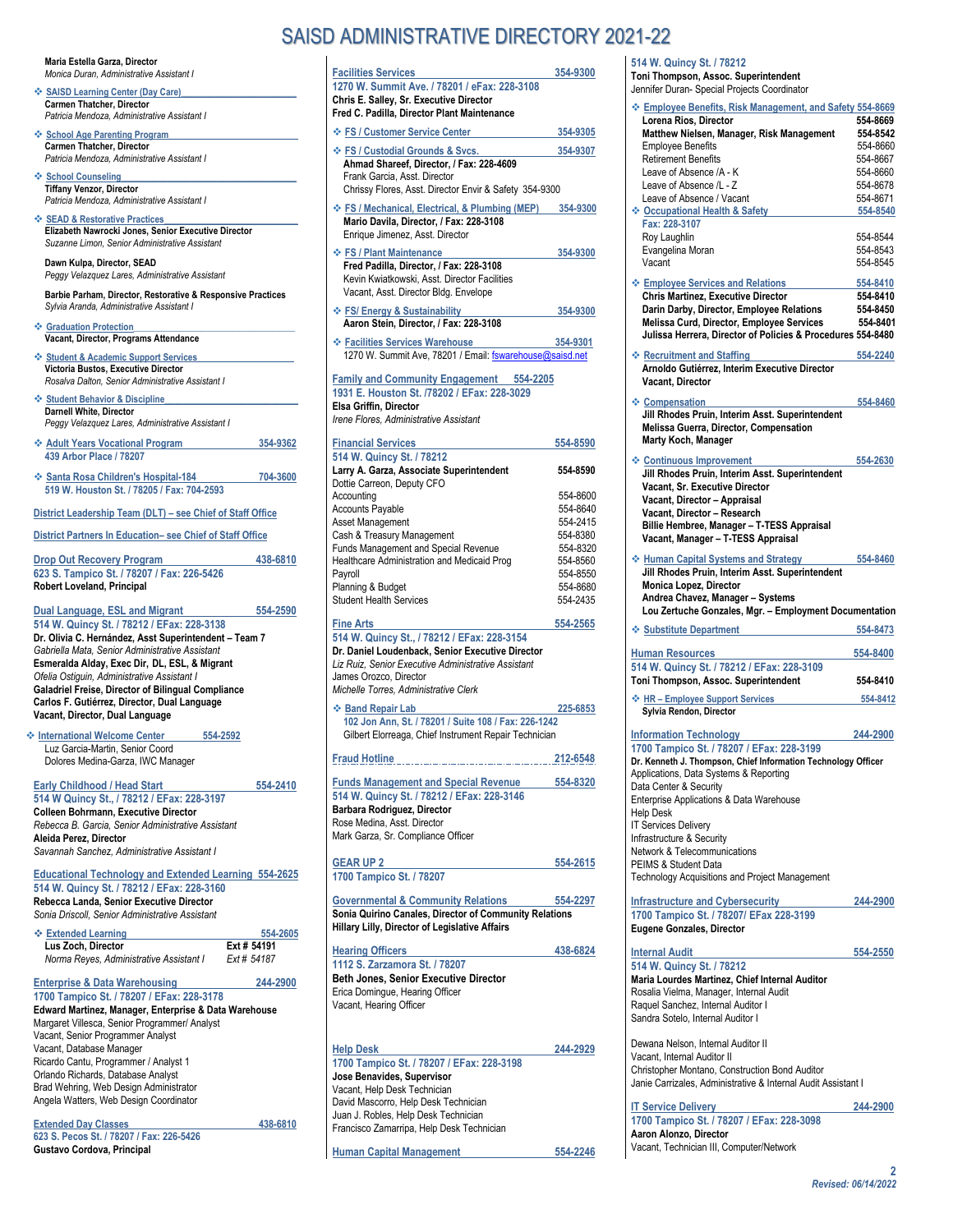#### **Maria Estella Garza, Director** *Monica Duran, Administrative Assistant I*

 **SAISD Learning Center (Day Care)\_\_\_\_\_\_\_\_\_\_\_\_\_\_\_\_\_\_\_\_\_\_\_\_\_ Carmen Thatcher, Director** *Patricia Mendoza, Administrative Assistant I*

 **School Age Parenting Program\_\_\_\_\_\_\_\_\_\_\_\_\_\_\_\_\_\_\_\_\_\_\_\_\_\_\_\_ Carmen Thatcher, Director** *Patricia Mendoza, Administrative Assistant I*

 $\div$  School Counseling **Tiffany Venzor, Director** *Patricia Mendoza, Administrative Assistant I*

 **SEAD & Restorative Practices\_\_\_\_\_\_\_\_\_\_\_\_\_\_\_\_\_\_\_\_\_\_\_\_\_\_\_\_\_ Elizabeth Nawrocki Jones, Senior Executive Director** *Suzanne Limon, Senior Administrative Assistant*

**Dawn Kulpa, Director, SEAD** *Peggy Velazquez Lares, Administrative Assistant*

**Barbie Parham, Director, Restorative & Responsive Practices** *Sylvia Aranda, Administrative Assistant I*

 **Graduation Protection\_\_\_\_\_\_\_\_\_\_\_\_\_\_\_\_\_\_\_\_\_\_\_\_\_\_\_\_\_\_\_\_\_\_\_ Vacant, Director, Programs Attendance**

 **Student & Academic Support Services\_\_\_\_\_\_\_\_\_\_\_\_\_\_\_\_\_\_\_\_\_ Victoria Bustos, Executive Director** *Rosalva Dalton, Senior Administrative Assistant I*

 $\div$  Student Behavior & Discipline **Darnell White, Director** *Peggy Velazquez Lares, Administrative Assistant I*

| ❖ Adult Years Vocational Program | 354-9362 |
|----------------------------------|----------|
| 439 Arbor Place / 78207          |          |
|                                  |          |

**Santa Rosa Children's Hospital-184** 704-3600 **519 W. Houston St. / 78205 / Fax: 704-2593**

**District Leadership Team (DLT) – see Chief of Staff Office**

**District Partners In Education– see Chief of Staff Office**

| <b>Drop Out Recovery Program</b>           | 438-6810 |
|--------------------------------------------|----------|
| 623 S. Tampico St. / 78207 / Fax: 226-5426 |          |
| <b>Robert Loveland, Principal</b>          |          |

**Dual Language, ESL and Migrant 554-2590 514 W. Quincy St. / 78212 / EFax: 228-3138 Dr. Olivia C. Hernández, Asst Superintendent – Team 7** *Gabriella Mata, Senior Administrative Assistant* **Esmeralda Alday, Exec Dir, DL, ESL, & Migrant** *Ofelia Ostiguin, Administrative Assistant I*  **Galadriel Freise, Director of Bilingual Compliance Carlos F. Gutiérrez, Director, Dual Language Vacant, Director, Dual Language**

 **International Welcome Center 554-2592** Luz Garcia-Martin, Senior Coord Dolores Medina-Garza, IWC Manager

**Early Childhood / Head Start 554-2410 514 W Quincy St., / 78212 / EFax: 228-3197 Colleen Bohrmann, Executive Director** *Rebecca B. Garcia, Senior Administrative Assistant* **Aleida Perez, Director** *Savannah Sanchez, Administrative Assistant I*

**Educational Technology and Extended Learning 554-2625 514 W. Quincy St. / 78212 / EFax: 228-3160 Rebecca Landa, Senior Executive Director** *Sonia Driscoll, Senior Administrative Assistant*

| ❖ Extended Learning                     | 554-2605    |
|-----------------------------------------|-------------|
| Lus Zoch, Director                      | Ext # 54191 |
| Norma Reyes, Administrative Assistant I | Ext # 54187 |

**Enterprise & Data Warehousing 244-2900** 

**1700 Tampico St. / 78207 / EFax: 228-3178 Edward Martinez, Manager, Enterprise & Data Warehouse** Margaret Villesca, Senior Programmer/ Analyst Vacant, Senior Programmer Analyst Vacant, Database Manager Ricardo Cantu, Programmer / Analyst 1 Orlando Richards, Database Analyst Brad Wehring, Web Design Administrator Angela Watters, Web Design Coordinator

**Extended Day Classes 438-6810 623 S. Pecos St. / 78207 / Fax: 226-5426 Gustavo Cordova, Principal**

# SAISD ADMINISTRATIVE DIRECTORY 2021-22

**Facilities Services 354-9300 1270 W. Summit Ave. / 78201 / eFax: 228-3108 Chris E. Salley, Sr. Executive Director Fred C. Padilla, Director Plant Maintenance FS / Customer Service Center 354-9305 FS / Custodial Grounds & Svcs. 354-9307 Ahmad Shareef, Director, / Fax: 228-4609** Frank Garcia, Asst. Director Chrissy Flores, Asst. Director Envir & Safety 354-9300 **FS / Mechanical, Electrical, & Plumbing (MEP) 354-9300 Mario Davila, Director, / Fax: 228-3108** Enrique Jimenez, Asst. Director **FS / Plant Maintenance 354-9300 Fred Padilla, Director, / Fax: 228-3108** Kevin Kwiatkowski, Asst. Director Facilities Vacant, Asst. Director Bldg. Envelope **FS/ Energy & Sustainability 354-9300 Aaron Stein, Director, / Fax: 228-3108 Facilities Services Warehouse 354-9301**  1270 W. Summit Ave, 78201 / Email[: fswarehouse@saisd.net](mailto:fswarehouse@saisd.net) **Family and Community Engagement 554-2205 1931 E. Houston St. /78202 / EFax: 228-3029 Elsa Griffin, Director** *Irene Flores, Administrative Assistant*  **Financial Services 554-8590 514 W. Quincy St. / 78212 Larry A. Garza, Associate Superintendent 554-8590** Dottie Carreon, Deputy CFO Accounting 554-8600<br>Accounts Pavable 654-8640 Accounts Payable 554-8640 Asset Management 554-2415 Cash & Treasury Management<br>Funds Management and Special Revenue 554-8320 Funds Management and Special Revenue 554-8320<br>
Healthcare Administration and Medicaid Prog 554-8560 Healthcare Administration and Medicaid Prog 554-8560<br>Pavroll 554-8550 Payroll 554-8550 Planning & Budget 654-8680<br>Student Health Services 654-2435 Student Health Services **Fine Arts 554-2565 514 W. Quincy St., / 78212 / EFax: 228-3154 Dr. Daniel Loudenback, Senior Executive Director** *Liz Ruiz, Senior Executive Administrative Assistant* James Orozco, Director *Michelle Torres, Administrative Clerk* **Band Repair Lab 225-6853 102 Jon Ann, St. / 78201 / Suite 108 / Fax: 226-1242**  Gilbert Elorreaga, Chief Instrument Repair Technician **Fraud Hotline 212-6548 Funds Management and Special Revenue 554-8320 514 W. Quincy St. / 78212 / EFax: 228-3146 Barbara Rodriguez, Director** Rose Medina, Asst. Director Mark Garza, Sr. Compliance Officer **GEAR UP 2 554-2615 1700 Tampico St. / 78207 Governmental & Community Relations 554-2297 Sonia Quirino Canales, Director of Community Relations Hillary Lilly, Director of Legislative Affairs Hearing Officers 438-6824 1112 S. Zarzamora St. / 78207 Beth Jones, Senior Executive Director** Erica Domingue, Hearing Officer Vacant, Hearing Officer **Help Desk 244-2929 1700 Tampico St. / 78207 / EFax: 228-3198 Jose Benavides, Supervisor**  Vacant, Help Desk Technician David Mascorro, Help Desk Technician Juan J. Robles, Help Desk Technician

Francisco Zamarripa, Help Desk Technician

**Human Capital Management 554-2246** 

### **514 W. Quincy St. / 78212**

**Toni Thompson, Assoc. Superintendent**

| Jennifer Duran- Special Projects Coordinator                                                                    |                      |
|-----------------------------------------------------------------------------------------------------------------|----------------------|
| <b>Employee Benefits, Risk Management, and Safety 554-8669</b><br>Lorena Rios, Director                         | 554-8669             |
| Matthew Nielsen, Manager, Risk Management                                                                       | 554-8542             |
| <b>Employee Benefits</b><br><b>Retirement Benefits</b>                                                          | 554-8660<br>554-8667 |
| Leave of Absence /A - K                                                                                         | 554-8660             |
| Leave of Absence /L - Z                                                                                         | 554-8678             |
| Leave of Absence / Vacant                                                                                       | 554-8671             |
| ❖ Occupational Health & Safety                                                                                  | 554-8540             |
| Fax: 228-3107                                                                                                   |                      |
| Roy Laughlin                                                                                                    | 554-8544             |
| Evangelina Moran                                                                                                | 554-8543             |
| Vacant                                                                                                          | 554-8545             |
| <b>Employee Services and Relations</b>                                                                          | 554-8410             |
| <b>Chris Martinez, Executive Director</b>                                                                       | 554-8410             |
| Darin Darby, Director, Employee Relations                                                                       | 554-8450             |
| Melissa Curd, Director, Employee Services<br>Julissa Herrera, Director of Policies & Procedures 554-8480        | 554-8401             |
|                                                                                                                 |                      |
| ❖ Recruitment and Staffing                                                                                      | 554-2240             |
| Arnoldo Gutiérrez, Interim Executive Director                                                                   |                      |
| Vacant, Director                                                                                                |                      |
| ❖ Compensation                                                                                                  | 554-8460             |
| Jill Rhodes Pruin, Interim Asst. Superintendent                                                                 |                      |
| Melissa Guerra, Director, Compensation<br>Marty Koch, Manager                                                   |                      |
|                                                                                                                 |                      |
| ❖ Continuous Improvement                                                                                        | 554-2630             |
| Jill Rhodes Pruin, Interim Asst. Superintendent                                                                 |                      |
| Vacant, Sr. Executive Director                                                                                  |                      |
| Vacant, Director - Appraisal<br>Vacant, Director - Research                                                     |                      |
| Billie Hembree, Manager - T-TESS Appraisal                                                                      |                      |
| Vacant, Manager - T-TESS Appraisal                                                                              |                      |
| <b>Example 3 Human Capital Systems and Strategy</b>                                                             | 554-8460             |
| Jill Rhodes Pruin, Interim Asst. Superintendent                                                                 |                      |
|                                                                                                                 |                      |
|                                                                                                                 |                      |
| Monica Lopez, Director<br>Andrea Chavez, Manager - Systems                                                      |                      |
| Lou Zertuche Gonzales, Mgr. - Employment Documentation                                                          |                      |
| ❖ Substitute Department                                                                                         | 554-8473             |
|                                                                                                                 |                      |
| <b>Human Resources</b>                                                                                          | 554-8400             |
| 514 W. Quincy St. / 78212 / EFax: 228-3109                                                                      |                      |
| Toni Thompson, Assoc. Superintendent                                                                            | 554-8410             |
| ← HR - Employee Support Services                                                                                | 554-8412             |
| Sylvia Rendon, Director                                                                                         |                      |
| <b>Information Technology</b>                                                                                   | 244-2900             |
| 1700 Tampico St. / 78207 / EFax: 228-3199                                                                       |                      |
| Dr. Kenneth J. Thompson, Chief Information Technology Officer                                                   |                      |
| Applications, Data Systems & Reporting                                                                          |                      |
| Data Center & Security                                                                                          |                      |
| Enterprise Applications & Data Warehouse                                                                        |                      |
| <b>Help Desk</b><br><b>IT Services Delivery</b>                                                                 |                      |
| Infrastructure & Security                                                                                       |                      |
| Network & Telecommunications                                                                                    |                      |
| PEIMS & Student Data                                                                                            |                      |
| <b>Technology Acquisitions and Project Management</b>                                                           |                      |
|                                                                                                                 | 244-2900             |
| <b>Infrastructure and Cybersecurity</b><br>1700 Tampico St. / 78207/ EFax 228-3199                              |                      |
| Eugene Gonzales, Director                                                                                       |                      |
|                                                                                                                 |                      |
| <b>Internal Audit</b>                                                                                           | 554-2550             |
| 514 W. Quincy St. / 78212                                                                                       |                      |
| Maria Lourdes Martinez, Chief Internal Auditor                                                                  |                      |
| Rosalia Vielma, Manager, Internal Audit                                                                         |                      |
| Raquel Sanchez, Internal Auditor I<br>Sandra Sotelo, Internal Auditor I                                         |                      |
|                                                                                                                 |                      |
| Dewana Nelson, Internal Auditor II                                                                              |                      |
| Vacant, Internal Auditor II                                                                                     |                      |
| Christopher Montano, Construction Bond Auditor<br>Janie Carrizales, Administrative & Internal Audit Assistant I |                      |

**IT Service Delivery 244-2900 1700 Tampico St. / 78207 / EFax: 228-3098 Aaron Alonzo, Director** Vacant, Technician III, Computer/Network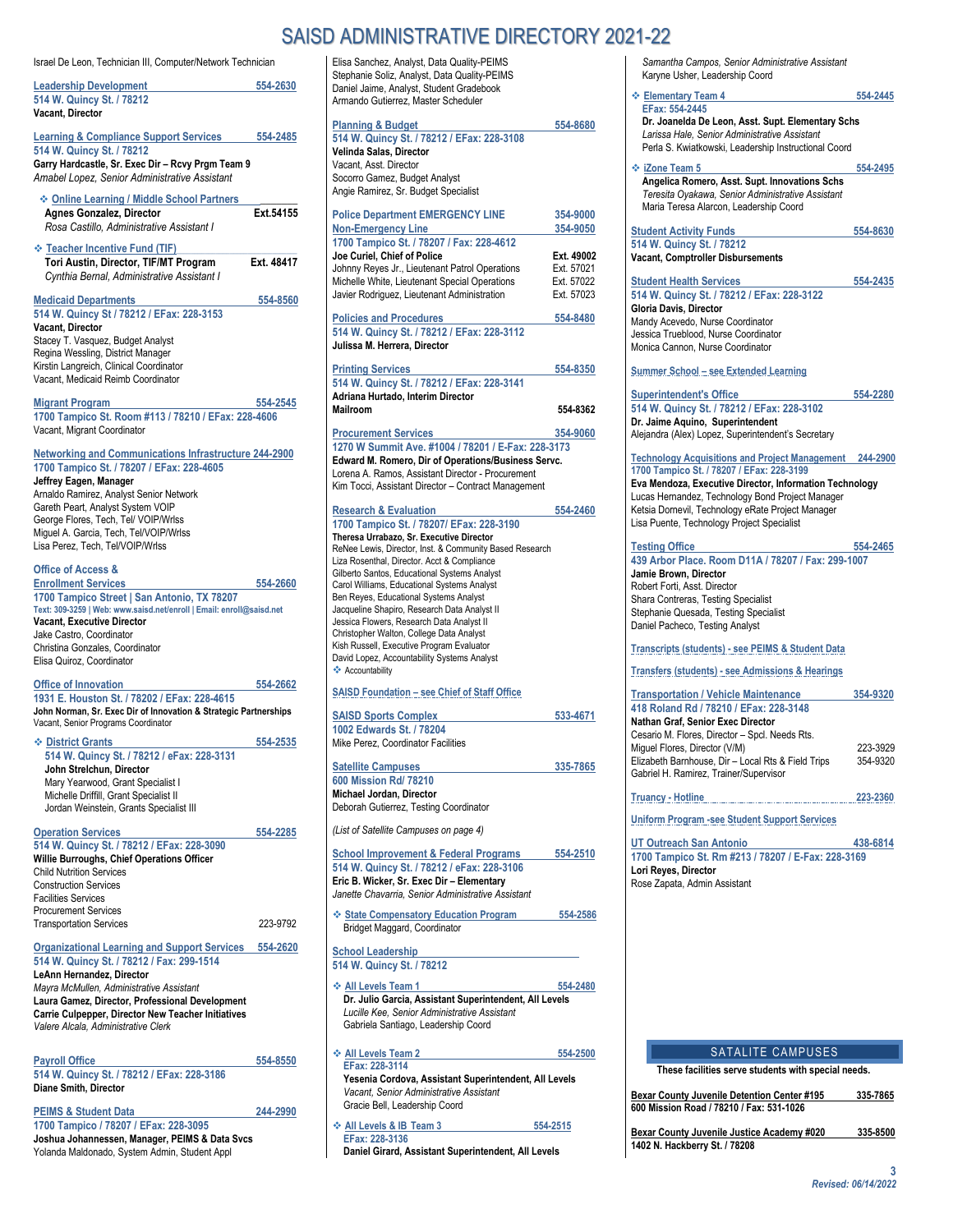|--|

Elisa Sanchez, Analyst, Data Quality-PEIMS Stephanie Soliz, Analyst, Data Quality-PEIMS

| Israel De Leon, Technician III, Computer/Network Technician                                                                                                                                                                                                                                                                               |            |
|-------------------------------------------------------------------------------------------------------------------------------------------------------------------------------------------------------------------------------------------------------------------------------------------------------------------------------------------|------------|
| <b>Leadership Development</b><br>514 W. Quincy St. / 78212<br>Vacant, Director                                                                                                                                                                                                                                                            | 554-2630   |
| <b>Learning &amp; Compliance Support Services</b><br>514 W. Quincy St. / 78212<br>Garry Hardcastle, Sr. Exec Dir - Rcvy Prgm Team 9<br>Amabel Lopez, Senior Administrative Assistant                                                                                                                                                      | 554-2485   |
| ❖ Online Learning / Middle School Partners<br><b>Agnes Gonzalez, Director</b><br>Rosa Castillo, Administrative Assistant I                                                                                                                                                                                                                | Ext.54155  |
| <b>Example 7 • Teacher Incentive Fund (TIF)</b><br>Tori Austin, Director, TIF/MT Program<br>Cynthia Bernal, Administrative Assistant I                                                                                                                                                                                                    | Ext. 48417 |
| <b>Medicaid Departments</b><br>514 W. Quincy St / 78212 / EFax: 228-3153<br>Vacant, Director<br>Stacey T. Vasquez, Budget Analyst<br>Regina Wessling, District Manager<br>Kirstin Langreich, Clinical Coordinator<br>Vacant, Medicaid Reimb Coordinator                                                                                   | 554-8560   |
| <b>Migrant Program</b><br>1700 Tampico St. Room #113 / 78210 / EFax: 228-4606<br>Vacant, Migrant Coordinator                                                                                                                                                                                                                              | 554-2545   |
| <b>Networking and Communications Infrastructure 244-2900</b><br>1700 Tampico St. / 78207 / EFax: 228-4605<br>Jeffrey Eagen, Manager<br>Arnaldo Ramirez, Analyst Senior Network<br>Gareth Peart, Analyst System VOIP<br>George Flores, Tech, Tel/ VOIP/Wrlss<br>Miguel A. Garcia, Tech, Tel/VOIP/Wrlss<br>Lisa Perez, Tech, Tel/VOIP/Wrlss |            |
| <b>Office of Access &amp;</b><br><b>Enrollment Services</b><br>1700 Tampico Street   San Antonio, TX 78207<br>Text: 309-3259   Web: www.saisd.net/enroll   Email: enroll@saisd.net<br>Vacant, Executive Director<br>Jake Castro, Coordinator<br>Christina Gonzales, Coordinator<br>Elisa Quiroz, Coordinator                              | 554-2660   |
| <b>Office of Innovation</b><br>1931 E. Houston St. / 78202 / EFax: 228-4615<br>John Norman, Sr. Exec Dir of Innovation & Strategic Partnerships<br>Vacant, Senior Programs Coordinator                                                                                                                                                    | 554-2662   |
| ❖ District Grants<br>514 W. Quincy St. / 78212 / eFax: 228-3131<br>John Strelchun, Director<br>Mary Yearwood, Grant Specialist I<br>Michelle Driffill, Grant Specialist II<br>Jordan Weinstein, Grants Specialist III                                                                                                                     | 554-2535   |
| <b>Operation Services</b><br>514 W. Quincy St. / 78212 / EFax: 228-3090<br>Willie Burroughs, Chief Operations Officer<br><b>Child Nutrition Services</b><br><b>Construction Services</b><br><b>Facilities Services</b><br><b>Procurement Services</b>                                                                                     | 554-2285   |
| <b>Transportation Services</b>                                                                                                                                                                                                                                                                                                            | 223-9792   |
| <u><b>Organizational Learning and Support Services</b></u><br>514 W. Quincy St. / 78212 / Fax: 299-1514<br>LeAnn Hernandez, Director<br>Mayra McMullen, Administrative Assistant<br>Laura Gamez, Director, Professional Development<br><b>Carrie Culpepper, Director New Teacher Initiatives</b><br>Valere Alcala, Administrative Clerk   | 554-2620   |
| <b>Payroll Office</b><br>514 W. Quincy St. / 78212 / EFax: 228-3186<br>Diane Smith, Director                                                                                                                                                                                                                                              | 554-8550   |
| <b>PEIMS &amp; Student Data</b><br>1700 Tampico / 78207 / EFax: 228-3095<br>Joshua Johannessen, Manager, PEIMS & Data Svcs<br>Yolanda Maldonado, System Admin, Student Appl                                                                                                                                                               | 244-2990   |

Daniel Jaime, Analyst, Student Gradebook Armando Gutierrez, Master Scheduler **Planning & Budget 554-8680 514 W. Quincy St. / 78212 / EFax: 228-3108 Velinda Salas, Director** Vacant, Asst. Director Socorro Gamez, Budget Analyst Angie Ramirez, Sr. Budget Specialist **Police Department EMERGENCY LINE 354-9000 Non-Emergency Line 354-9050 1700 Tampico St. / 78207 / Fax: 228-4612 Joe Curiel, Chief of Police Ext. 49002**  Johnny Reyes Jr., Lieutenant Patrol Operations Ext. 57021 Michelle White, Lieutenant Special Operations Javier Rodriguez, Lieutenant Administration Ext. 57023 **Policies and Procedures** 554-8480 **514 W. Quincy St. / 78212 / EFax: 228-3112 Julissa M. Herrera, Director Printing Services 554-8350 514 W. Quincy St. / 78212 / EFax: 228-3141 Adriana Hurtado, Interim Director Mailroom 554-8362 Procurement Services 354-9060 1270 W Summit Ave. #1004 / 78201 / E-Fax: 228-3173 Edward M. Romero, Dir of Operations/Business Servc.**  Lorena A. Ramos, Assistant Director - Procurement Kim Tocci, Assistant Director – Contract Management **Research & Evaluation 554-2460 1700 Tampico St. / 78207/ EFax: 228-3190 Theresa Urrabazo, Sr. Executive Director** ReNee Lewis, Director, Inst. & Community Based Research Liza Rosenthal, Director. Acct & Compliance Gilberto Santos, Educational Systems Analyst Carol Williams, Educational Systems Analyst Ben Reyes, Educational Systems Analyst Jacqueline Shapiro, Research Data Analyst II Jessica Flowers, Research Data Analyst II Christopher Walton, College Data Analyst Kish Russell, Executive Program Evaluator David Lopez, Accountability Systems Analyst  $\triangle$  Accountability **SAISD Foundation – see Chief of Staff Office** SAISD Sports Complex 533-4671 **1002 Edwards St. / 78204** Mike Perez, Coordinator Facilities **Satellite Campuses 335-7865 600 Mission Rd/ 78210 Michael Jordan, Director** Deborah Gutierrez, Testing Coordinator *(List of Satellite Campuses on page 4)*  **School Improvement & Federal Programs 554-2510 514 W. Quincy St. / 78212 / eFax: 228-3106 Eric B. Wicker, Sr. Exec Dir – Elementary**  *Janette Chavarria, Senior Administrative Assistant* **State Compensatory Education Program 554-2586** Bridget Maggard, Coordinator **School Leadership 514 W. Quincy St. / 78212 ◆ All Levels Team 1 554-2480 Dr. Julio Garcia, Assistant Superintendent, All Levels** *Lucille Kee, Senior Administrative Assistant*  Gabriela Santiago, Leadership Coord **All Levels Team 2 554-2500 EFax: 228-3114 Yesenia Cordova, Assistant Superintendent, All Levels** *Vacant, Senior Administrative Assistant*  Gracie Bell, Leadership Coord

**All Levels & IB Team 3 554-2515** 

**Daniel Girard, Assistant Superintendent, All Levels**

**EFax: 228-3136**

*Samantha Campos, Senior Administrative Assistant*  Karyne Usher, Leadership Coord

**Elementary Team 4** 554-2445 **EFax: 554-2445 Dr. Joanelda De Leon, Asst. Supt. Elementary Schs** *Larissa Hale, Senior Administrative Assistant*  Perla S. Kwiatkowski, Leadership Instructional Coord **<u><b>**2006 Team 5 554-2495</u> 554-2495 **Angelica Romero, Asst. Supt. Innovations Schs** *Teresita Oyakawa, Senior Administrative Assistant*

Maria Teresa Alarcon, Leadership Coord **Student Activity Funds 554-8630** 

**514 W. Quincy St. / 78212 Vacant, Comptroller Disbursements**

**Student Health Services 554-2435 514 W. Quincy St. / 78212 / EFax: 228-3122 Gloria Davis, Director** Mandy Acevedo, Nurse Coordinator Jessica Trueblood, Nurse Coordinator Monica Cannon, Nurse Coordinator

**Summer School – see Extended Learning**

**Superintendent's Office 554-2280 514 W. Quincy St. / 78212 / EFax: 228-3102 Dr. Jaime Aquino, Superintendent** Alejandra (Alex) Lopez, Superintendent's Secretary

### **Technology Acquisitions and Project Management 244-2900**

**1700 Tampico St. / 78207 / EFax: 228-3199 Eva Mendoza, Executive Director, Information Technology**  Lucas Hernandez, Technology Bond Project Manager Ketsia Dornevil, Technology eRate Project Manager Lisa Puente, Technology Project Specialist

#### **Testing Office 554-2465**

**439 Arbor Place. Room D11A / 78207 / Fax: 299-1007 Jamie Brown, Director** Robert Forti, Asst. Director Shara Contreras, Testing Specialist Stephanie Quesada, Testing Specialist Daniel Pacheco, Testing Analyst

**Transcripts (students) - see PEIMS & Student Data**

**Transfers (students) - see Admissions & Hearings**

| <b>Transportation / Vehicle Maintenance</b>        | 354-9320 |
|----------------------------------------------------|----------|
| 418 Roland Rd / 78210 / EFax: 228-3148             |          |
| Nathan Graf, Senior Exec Director                  |          |
| Cesario M. Flores, Director - Spcl. Needs Rts.     |          |
| Miquel Flores, Director (V/M)                      | 223-3929 |
| Elizabeth Barnhouse, Dir - Local Rts & Field Trips | 354-9320 |
| Gabriel H. Ramirez, Trainer/Supervisor             |          |
|                                                    |          |

**Truancy - Hotline 223-2360**

**Uniform Program -see Student Support Services**

**UT Outreach San Antonio 438-6814 1700 Tampico St. Rm #213 / 78207 / E-Fax: 228-3169 Lori Reyes, Director** Rose Zapata, Admin Assistant

#### SATALITE CAMPUSES

**These facilities serve students with special needs.**

**Bexar County Juvenile Detention Center #195 335-7865 600 Mission Road / 78210 / Fax: 531-1026**

**Bexar County Juvenile Justice Academy #020 335-8500 1402 N. Hackberry St. / 78208**